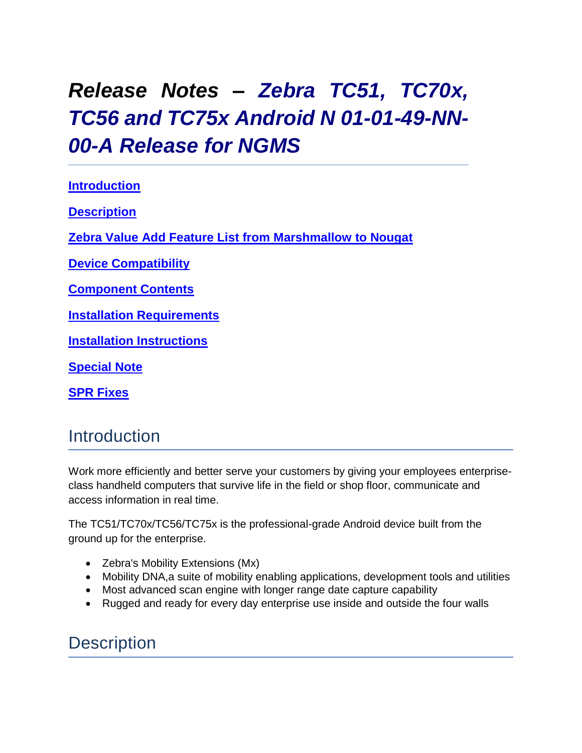# *Release Notes – Zebra TC51, TC70x, TC56 and TC75x Android N 01-01-49-NN-00-A Release for NGMS*

<span id="page-0-0"></span>**[Introduction](#page-0-0) [Description](#page-0-1) [Zebra Value Add Feature List from Marshmallow to Nougat](#page-1-0) [Device Compatibility](#page-4-0) [Component Contents](#page-5-0) [Installation Requirements](#page-9-0) Installation [Instructions](#page-9-1) [Special](#page-12-0) [Note](#page-12-0) [SPR Fixes](#page-12-0)**

#### **Introduction**

Work more efficiently and better serve your customers by giving your employees enterpriseclass handheld computers that survive life in the field or shop floor, communicate and access information in real time.

The TC51/TC70x/TC56/TC75x is the professional-grade Android device built from the ground up for the enterprise.

- Zebra's Mobility Extensions (Mx)
- Mobility DNA, a suite of mobility enabling applications, development tools and utilities
- Most advanced scan engine with longer range date capture capability
- Rugged and ready for every day enterprise use inside and outside the four walls

### <span id="page-0-1"></span>**Description**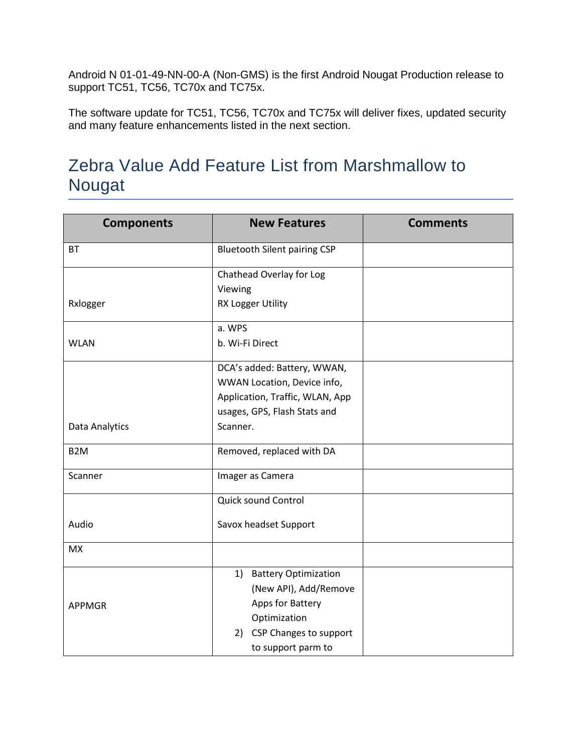Android N 01-01-49-NN-00-A (Non-GMS) is the first Android Nougat Production release to support TC51, TC56, TC70x and TC75x.

The software update for TC51, TC56, TC70x and TC75x will deliver fixes, updated security and many feature enhancements listed in the next section.

### <span id="page-1-0"></span>Zebra Value Add Feature List from Marshmallow to Nougat

| <b>Components</b> | <b>New Features</b>                 | <b>Comments</b> |
|-------------------|-------------------------------------|-----------------|
| <b>BT</b>         | <b>Bluetooth Silent pairing CSP</b> |                 |
|                   | Chathead Overlay for Log            |                 |
|                   | Viewing                             |                 |
| Rxlogger          | <b>RX Logger Utility</b>            |                 |
|                   | a. WPS                              |                 |
| <b>WLAN</b>       | b. Wi-Fi Direct                     |                 |
|                   | DCA's added: Battery, WWAN,         |                 |
|                   | WWAN Location, Device info,         |                 |
|                   | Application, Traffic, WLAN, App     |                 |
|                   | usages, GPS, Flash Stats and        |                 |
| Data Analytics    | Scanner.                            |                 |
| B <sub>2</sub> M  | Removed, replaced with DA           |                 |
| Scanner           | Imager as Camera                    |                 |
|                   | Quick sound Control                 |                 |
| Audio             | Savox headset Support               |                 |
| <b>MX</b>         |                                     |                 |
|                   | 1) Battery Optimization             |                 |
|                   | (New API), Add/Remove               |                 |
| <b>APPMGR</b>     | Apps for Battery                    |                 |
|                   | Optimization                        |                 |
|                   | 2) CSP Changes to support           |                 |
|                   | to support parm to                  |                 |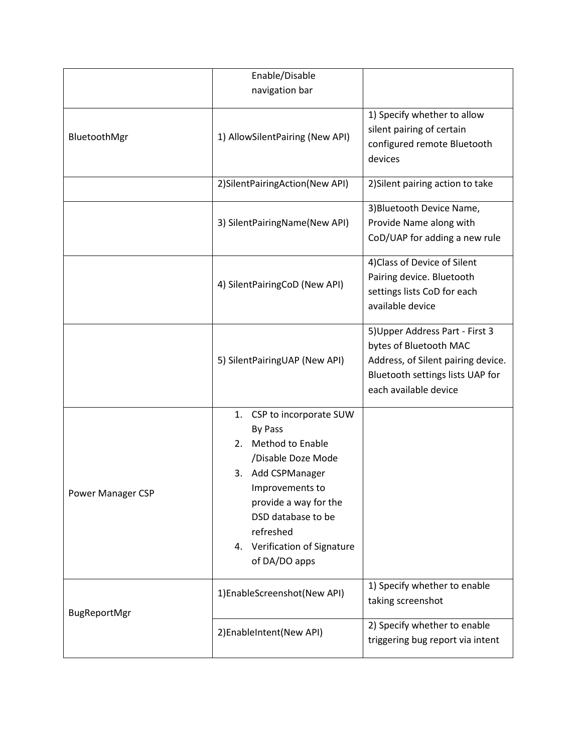|                   | Enable/Disable<br>navigation bar                                                                                                                                                                                                             |                                                                                                                                                              |
|-------------------|----------------------------------------------------------------------------------------------------------------------------------------------------------------------------------------------------------------------------------------------|--------------------------------------------------------------------------------------------------------------------------------------------------------------|
|                   |                                                                                                                                                                                                                                              |                                                                                                                                                              |
| BluetoothMgr      | 1) AllowSilentPairing (New API)                                                                                                                                                                                                              | 1) Specify whether to allow<br>silent pairing of certain<br>configured remote Bluetooth<br>devices                                                           |
|                   | 2) Silent Pairing Action (New API)                                                                                                                                                                                                           | 2) Silent pairing action to take                                                                                                                             |
|                   | 3) SilentPairingName(New API)                                                                                                                                                                                                                | 3) Bluetooth Device Name,<br>Provide Name along with<br>CoD/UAP for adding a new rule                                                                        |
|                   | 4) SilentPairingCoD (New API)                                                                                                                                                                                                                | 4) Class of Device of Silent<br>Pairing device. Bluetooth<br>settings lists CoD for each<br>available device                                                 |
|                   | 5) SilentPairingUAP (New API)                                                                                                                                                                                                                | 5) Upper Address Part - First 3<br>bytes of Bluetooth MAC<br>Address, of Silent pairing device.<br>Bluetooth settings lists UAP for<br>each available device |
| Power Manager CSP | CSP to incorporate SUW<br>1.<br>By Pass<br>2. Method to Enable<br>/Disable Doze Mode<br>Add CSPManager<br>3.<br>Improvements to<br>provide a way for the<br>DSD database to be<br>refreshed<br>4. Verification of Signature<br>of DA/DO apps |                                                                                                                                                              |
| BugReportMgr      | 1)EnableScreenshot(New API)                                                                                                                                                                                                                  | 1) Specify whether to enable<br>taking screenshot                                                                                                            |
|                   | 2) EnableIntent (New API)                                                                                                                                                                                                                    | 2) Specify whether to enable<br>triggering bug report via intent                                                                                             |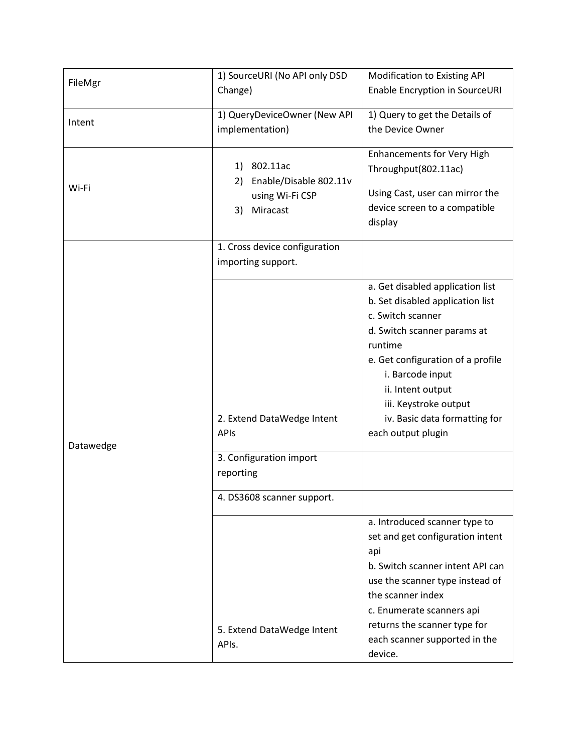|           | 1) SourceURI (No API only DSD                       | <b>Modification to Existing API</b>                                                                                      |
|-----------|-----------------------------------------------------|--------------------------------------------------------------------------------------------------------------------------|
| FileMgr   | Change)                                             | Enable Encryption in SourceURI                                                                                           |
|           | 1) QueryDeviceOwner (New API                        | 1) Query to get the Details of                                                                                           |
| Intent    | implementation)                                     | the Device Owner                                                                                                         |
|           | 1) 802.11ac<br>Enable/Disable 802.11v<br>2)         | <b>Enhancements for Very High</b><br>Throughput(802.11ac)                                                                |
| Wi-Fi     | using Wi-Fi CSP<br>Miracast<br>3)                   | Using Cast, user can mirror the<br>device screen to a compatible<br>display                                              |
|           | 1. Cross device configuration<br>importing support. |                                                                                                                          |
|           |                                                     | a. Get disabled application list<br>b. Set disabled application list<br>c. Switch scanner<br>d. Switch scanner params at |
|           |                                                     | runtime                                                                                                                  |
|           |                                                     | e. Get configuration of a profile<br>i. Barcode input<br>ii. Intent output                                               |
|           | 2. Extend DataWedge Intent                          | iii. Keystroke output<br>iv. Basic data formatting for                                                                   |
| Datawedge | APIs                                                | each output plugin                                                                                                       |
|           | 3. Configuration import<br>reporting                |                                                                                                                          |
|           | 4. DS3608 scanner support.                          |                                                                                                                          |
|           |                                                     | a. Introduced scanner type to<br>set and get configuration intent<br>api                                                 |
|           |                                                     | b. Switch scanner intent API can<br>use the scanner type instead of                                                      |
|           |                                                     | the scanner index                                                                                                        |
|           |                                                     | c. Enumerate scanners api                                                                                                |
|           | 5. Extend DataWedge Intent<br>APIs.                 | returns the scanner type for<br>each scanner supported in the<br>device.                                                 |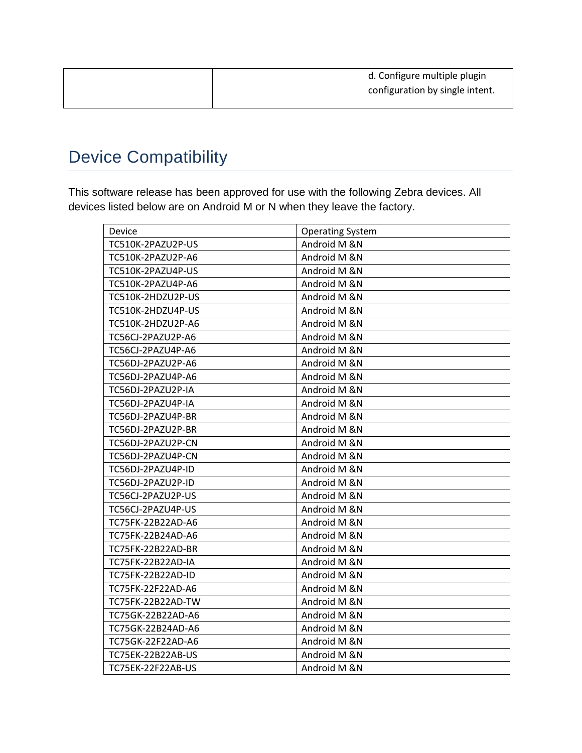|  | d. Configure multiple plugin    |
|--|---------------------------------|
|  | configuration by single intent. |
|  |                                 |

## <span id="page-4-0"></span>Device Compatibility

This software release has been approved for use with the following Zebra devices. All devices listed below are on Android M or N when they leave the factory.

| Device            | <b>Operating System</b> |
|-------------------|-------------------------|
| TC510K-2PAZU2P-US | Android M &N            |
| TC510K-2PAZU2P-A6 | Android M &N            |
| TC510K-2PAZU4P-US | Android M &N            |
| TC510K-2PAZU4P-A6 | Android M &N            |
| TC510K-2HDZU2P-US | Android M &N            |
| TC510K-2HDZU4P-US | Android M &N            |
| TC510K-2HDZU2P-A6 | Android M &N            |
| TC56CJ-2PAZU2P-A6 | Android M &N            |
| TC56CJ-2PAZU4P-A6 | Android M &N            |
| TC56DJ-2PAZU2P-A6 | Android M &N            |
| TC56DJ-2PAZU4P-A6 | Android M &N            |
| TC56DJ-2PAZU2P-IA | Android M &N            |
| TC56DJ-2PAZU4P-IA | Android M &N            |
| TC56DJ-2PAZU4P-BR | Android M &N            |
| TC56DJ-2PAZU2P-BR | Android M &N            |
| TC56DJ-2PAZU2P-CN | Android M &N            |
| TC56DJ-2PAZU4P-CN | Android M &N            |
| TC56DJ-2PAZU4P-ID | Android M &N            |
| TC56DJ-2PAZU2P-ID | Android M &N            |
| TC56CJ-2PAZU2P-US | Android M &N            |
| TC56CJ-2PAZU4P-US | Android M &N            |
| TC75FK-22B22AD-A6 | Android M &N            |
| TC75FK-22B24AD-A6 | Android M &N            |
| TC75FK-22B22AD-BR | Android M &N            |
| TC75FK-22B22AD-IA | Android M &N            |
| TC75FK-22B22AD-ID | Android M &N            |
| TC75FK-22F22AD-A6 | Android M &N            |
| TC75FK-22B22AD-TW | Android M &N            |
| TC75GK-22B22AD-A6 | Android M &N            |
| TC75GK-22B24AD-A6 | Android M &N            |
| TC75GK-22F22AD-A6 | Android M &N            |
| TC75EK-22B22AB-US | Android M &N            |
| TC75EK-22F22AB-US | Android M &N            |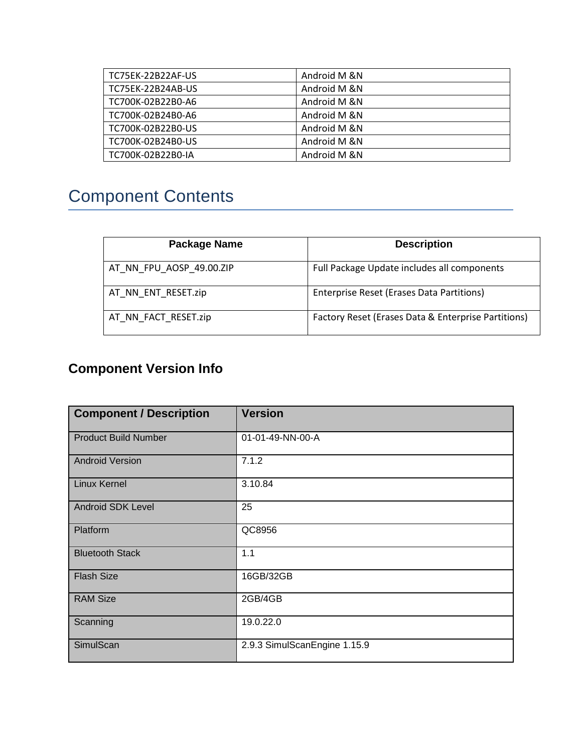| TC75EK-22B22AF-US | Android M &N |
|-------------------|--------------|
| TC75EK-22B24AB-US | Android M &N |
| TC700K-02B22B0-A6 | Android M &N |
| TC700K-02B24B0-A6 | Android M &N |
| TC700K-02B22B0-US | Android M &N |
| TC700K-02B24B0-US | Android M &N |
| TC700K-02B22B0-IA | Android M &N |

# <span id="page-5-0"></span>Component Contents

| <b>Package Name</b>      | <b>Description</b>                                  |
|--------------------------|-----------------------------------------------------|
| AT_NN_FPU_AOSP_49.00.ZIP | Full Package Update includes all components         |
| AT NN ENT RESET.zip      | Enterprise Reset (Erases Data Partitions)           |
| AT_NN_FACT_RESET.zip     | Factory Reset (Erases Data & Enterprise Partitions) |

### **Component Version Info**

| <b>Component / Description</b> | <b>Version</b>               |
|--------------------------------|------------------------------|
| <b>Product Build Number</b>    | 01-01-49-NN-00-A             |
| <b>Android Version</b>         | 7.1.2                        |
| <b>Linux Kernel</b>            | 3.10.84                      |
| <b>Android SDK Level</b>       | 25                           |
| Platform                       | QC8956                       |
| <b>Bluetooth Stack</b>         | 1.1                          |
| <b>Flash Size</b>              | 16GB/32GB                    |
| <b>RAM Size</b>                | 2GB/4GB                      |
| Scanning                       | 19.0.22.0                    |
| SimulScan                      | 2.9.3 SimulScanEngine 1.15.9 |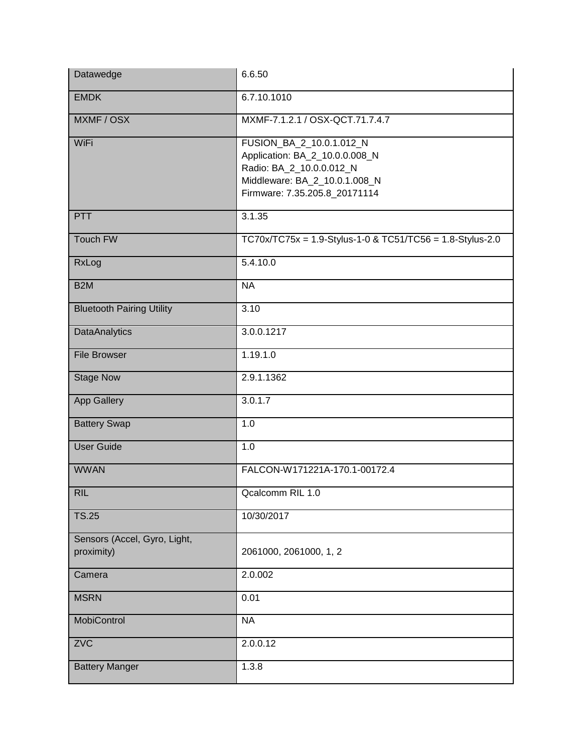| Datawedge                                  | 6.6.50                                                                                                                                                   |
|--------------------------------------------|----------------------------------------------------------------------------------------------------------------------------------------------------------|
| <b>EMDK</b>                                | 6.7.10.1010                                                                                                                                              |
| MXMF / OSX                                 | MXMF-7.1.2.1 / OSX-QCT.71.7.4.7                                                                                                                          |
| WiFi                                       | FUSION_BA_2_10.0.1.012_N<br>Application: BA_2_10.0.0.008_N<br>Radio: BA_2_10.0.0.012_N<br>Middleware: BA_2_10.0.1.008_N<br>Firmware: 7.35.205.8 20171114 |
| PTT                                        | 3.1.35                                                                                                                                                   |
| Touch FW                                   | $TC70x/TC75x = 1.9-Stylus-1-0 & TC51/TC56 = 1.8-Stylus-2.0$                                                                                              |
| RxLog                                      | 5.4.10.0                                                                                                                                                 |
| B <sub>2</sub> M                           | <b>NA</b>                                                                                                                                                |
| <b>Bluetooth Pairing Utility</b>           | 3.10                                                                                                                                                     |
| <b>DataAnalytics</b>                       | 3.0.0.1217                                                                                                                                               |
| <b>File Browser</b>                        | 1.19.1.0                                                                                                                                                 |
| <b>Stage Now</b>                           | 2.9.1.1362                                                                                                                                               |
| App Gallery                                | 3.0.1.7                                                                                                                                                  |
| <b>Battery Swap</b>                        | 1.0                                                                                                                                                      |
| <b>User Guide</b>                          | 1.0                                                                                                                                                      |
| <b>WWAN</b>                                | FALCON-W171221A-170.1-00172.4                                                                                                                            |
| <b>RIL</b>                                 | Qcalcomm RIL 1.0                                                                                                                                         |
| <b>TS.25</b>                               | 10/30/2017                                                                                                                                               |
| Sensors (Accel, Gyro, Light,<br>proximity) | 2061000, 2061000, 1, 2                                                                                                                                   |
| Camera                                     | 2.0.002                                                                                                                                                  |
| <b>MSRN</b>                                | 0.01                                                                                                                                                     |
| MobiControl                                | <b>NA</b>                                                                                                                                                |
| ZVC                                        | 2.0.0.12                                                                                                                                                 |
| <b>Battery Manger</b>                      | 1.3.8                                                                                                                                                    |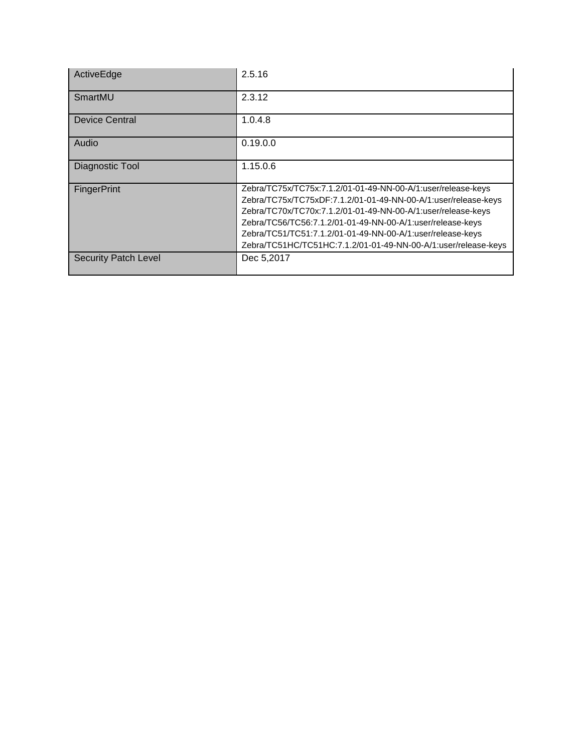| ActiveEdge                  | 2.5.16                                                                                                                                                                                                                                                                                                                                                                                       |
|-----------------------------|----------------------------------------------------------------------------------------------------------------------------------------------------------------------------------------------------------------------------------------------------------------------------------------------------------------------------------------------------------------------------------------------|
| SmartMU                     | 2.3.12                                                                                                                                                                                                                                                                                                                                                                                       |
| <b>Device Central</b>       | 1.0.4.8                                                                                                                                                                                                                                                                                                                                                                                      |
| Audio                       | 0.19.0.0                                                                                                                                                                                                                                                                                                                                                                                     |
| Diagnostic Tool             | 1.15.0.6                                                                                                                                                                                                                                                                                                                                                                                     |
| <b>FingerPrint</b>          | Zebra/TC75x/TC75x:7.1.2/01-01-49-NN-00-A/1:user/release-keys<br>Zebra/TC75x/TC75xDF:7.1.2/01-01-49-NN-00-A/1:user/release-keys<br>Zebra/TC70x/TC70x:7.1.2/01-01-49-NN-00-A/1:user/release-keys<br>Zebra/TC56/TC56:7.1.2/01-01-49-NN-00-A/1:user/release-keys<br>Zebra/TC51/TC51:7.1.2/01-01-49-NN-00-A/1:user/release-keys<br>Zebra/TC51HC/TC51HC:7.1.2/01-01-49-NN-00-A/1:user/release-keys |
| <b>Security Patch Level</b> | Dec 5,2017                                                                                                                                                                                                                                                                                                                                                                                   |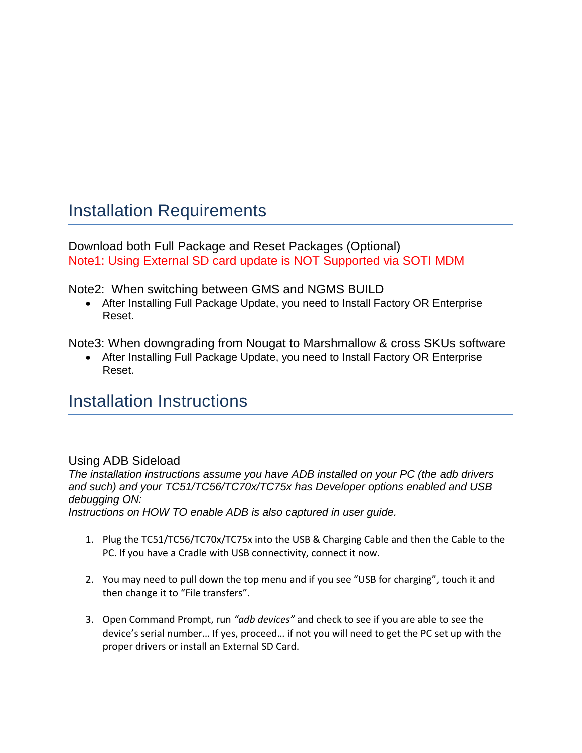#### <span id="page-9-0"></span>Installation Requirements

Download both Full Package and Reset Packages (Optional) Note1: Using External SD card update is NOT Supported via SOTI MDM

Note2: When switching between GMS and NGMS BUILD

• After Installing Full Package Update, you need to Install Factory OR Enterprise Reset.

Note3: When downgrading from Nougat to Marshmallow & cross SKUs software

• After Installing Full Package Update, you need to Install Factory OR Enterprise Reset.

#### <span id="page-9-1"></span>Installation Instructions

#### Using ADB Sideload

*The installation instructions assume you have ADB installed on your PC (the adb drivers and such) and your TC51/TC56/TC70x/TC75x has Developer options enabled and USB debugging ON: Instructions on HOW TO enable ADB is also captured in user guide.*

- 1. Plug the TC51/TC56/TC70x/TC75x into the USB & Charging Cable and then the Cable to the PC. If you have a Cradle with USB connectivity, connect it now.
- 2. You may need to pull down the top menu and if you see "USB for charging", touch it and then change it to "File transfers".
- 3. Open Command Prompt, run *"adb devices"* and check to see if you are able to see the device's serial number… If yes, proceed… if not you will need to get the PC set up with the proper drivers or install an External SD Card.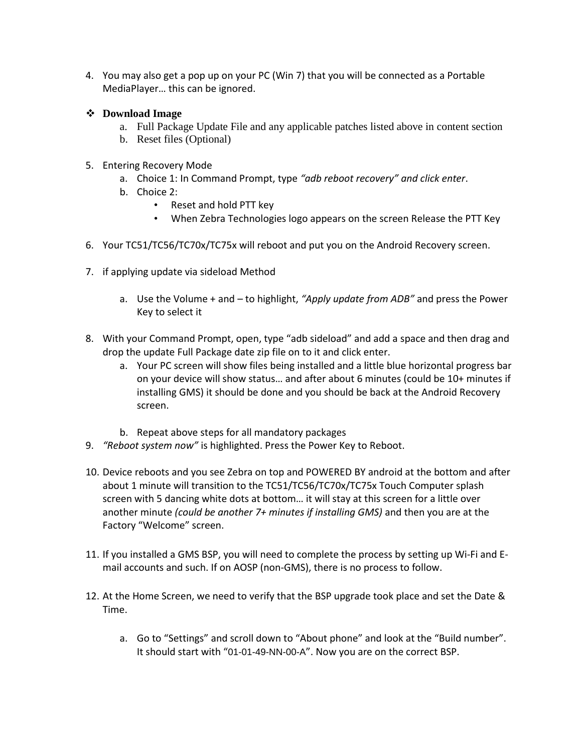4. You may also get a pop up on your PC (Win 7) that you will be connected as a Portable MediaPlayer… this can be ignored.

#### ❖ **Download Image**

- a. Full Package Update File and any applicable patches listed above in content section
- b. Reset files (Optional)
- 5. Entering Recovery Mode
	- a. Choice 1: In Command Prompt, type *"adb reboot recovery" and click enter*.
	- b. Choice 2:
		- Reset and hold PTT key
		- When Zebra Technologies logo appears on the screen Release the PTT Key
- 6. Your TC51/TC56/TC70x/TC75x will reboot and put you on the Android Recovery screen.
- 7. if applying update via sideload Method
	- a. Use the Volume + and to highlight, *"Apply update from ADB"* and press the Power Key to select it
- 8. With your Command Prompt, open, type "adb sideload" and add a space and then drag and drop the update Full Package date zip file on to it and click enter.
	- a. Your PC screen will show files being installed and a little blue horizontal progress bar on your device will show status… and after about 6 minutes (could be 10+ minutes if installing GMS) it should be done and you should be back at the Android Recovery screen.
	- b. Repeat above steps for all mandatory packages
- 9. *"Reboot system now"* is highlighted. Press the Power Key to Reboot.
- 10. Device reboots and you see Zebra on top and POWERED BY android at the bottom and after about 1 minute will transition to the TC51/TC56/TC70x/TC75x Touch Computer splash screen with 5 dancing white dots at bottom… it will stay at this screen for a little over another minute *(could be another 7+ minutes if installing GMS)* and then you are at the Factory "Welcome" screen.
- 11. If you installed a GMS BSP, you will need to complete the process by setting up Wi‐Fi and E‐ mail accounts and such. If on AOSP (non‐GMS), there is no process to follow.
- 12. At the Home Screen, we need to verify that the BSP upgrade took place and set the Date & Time.
	- a. Go to "Settings" and scroll down to "About phone" and look at the "Build number". It should start with "01-01-49-NN-00-A". Now you are on the correct BSP.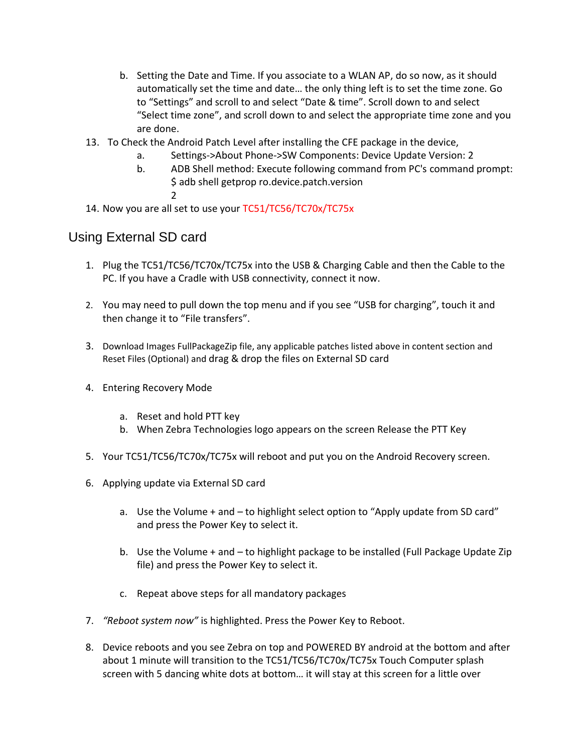- b. Setting the Date and Time. If you associate to a WLAN AP, do so now, as it should automatically set the time and date… the only thing left is to set the time zone. Go to "Settings" and scroll to and select "Date & time". Scroll down to and select "Select time zone", and scroll down to and select the appropriate time zone and you are done.
- 13. To Check the Android Patch Level after installing the CFE package in the device,
	- a. Settings->About Phone->SW Components: Device Update Version: 2
	- b. ADB Shell method: Execute following command from PC's command prompt: \$ adb shell getprop ro.device.patch.version 2
- 14. Now you are all set to use your TC51/TC56/TC70x/TC75x

#### Using External SD card

- 1. Plug the TC51/TC56/TC70x/TC75x into the USB & Charging Cable and then the Cable to the PC. If you have a Cradle with USB connectivity, connect it now.
- 2. You may need to pull down the top menu and if you see "USB for charging", touch it and then change it to "File transfers".
- 3. Download Images FullPackageZip file, any applicable patches listed above in content section and Reset Files (Optional) and drag & drop the files on External SD card
- 4. Entering Recovery Mode
	- a. Reset and hold PTT key
	- b. When Zebra Technologies logo appears on the screen Release the PTT Key
- 5. Your TC51/TC56/TC70x/TC75x will reboot and put you on the Android Recovery screen.
- 6. Applying update via External SD card
	- a. Use the Volume + and to highlight select option to "Apply update from SD card" and press the Power Key to select it.
	- b. Use the Volume + and to highlight package to be installed (Full Package Update Zip file) and press the Power Key to select it.
	- c. Repeat above steps for all mandatory packages
- 7. *"Reboot system now"* is highlighted. Press the Power Key to Reboot.
- 8. Device reboots and you see Zebra on top and POWERED BY android at the bottom and after about 1 minute will transition to the TC51/TC56/TC70x/TC75x Touch Computer splash screen with 5 dancing white dots at bottom… it will stay at this screen for a little over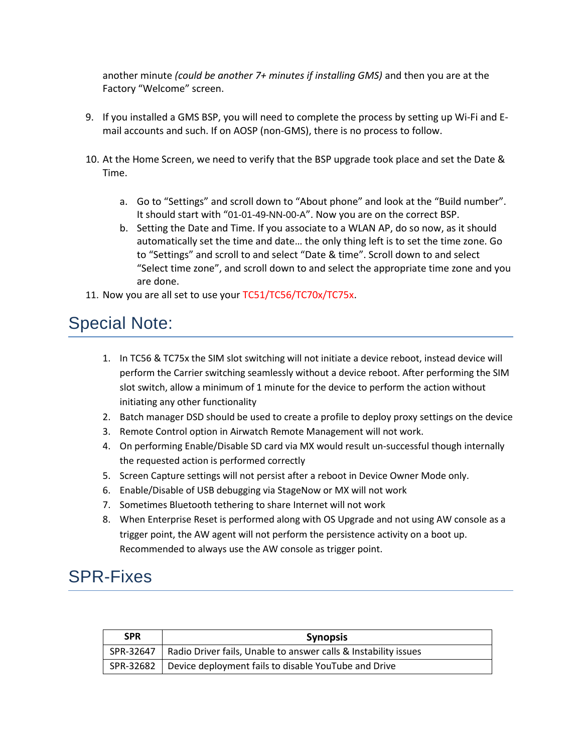another minute *(could be another 7+ minutes if installing GMS)* and then you are at the Factory "Welcome" screen.

- 9. If you installed a GMS BSP, you will need to complete the process by setting up Wi‐Fi and E‐ mail accounts and such. If on AOSP (non‐GMS), there is no process to follow.
- 10. At the Home Screen, we need to verify that the BSP upgrade took place and set the Date & Time.
	- a. Go to "Settings" and scroll down to "About phone" and look at the "Build number". It should start with "01-01-49-NN-00-A". Now you are on the correct BSP.
	- b. Setting the Date and Time. If you associate to a WLAN AP, do so now, as it should automatically set the time and date… the only thing left is to set the time zone. Go to "Settings" and scroll to and select "Date & time". Scroll down to and select "Select time zone", and scroll down to and select the appropriate time zone and you are done.
- 11. Now you are all set to use your TC51/TC56/TC70x/TC75x.

#### <span id="page-12-0"></span>Special Note:

- 1. In TC56 & TC75x the SIM slot switching will not initiate a device reboot, instead device will perform the Carrier switching seamlessly without a device reboot. After performing the SIM slot switch, allow a minimum of 1 minute for the device to perform the action without initiating any other functionality
- 2. Batch manager DSD should be used to create a profile to deploy proxy settings on the device
- 3. Remote Control option in Airwatch Remote Management will not work.
- 4. On performing Enable/Disable SD card via MX would result un-successful though internally the requested action is performed correctly
- 5. Screen Capture settings will not persist after a reboot in Device Owner Mode only.
- 6. Enable/Disable of USB debugging via StageNow or MX will not work
- 7. Sometimes Bluetooth tethering to share Internet will not work
- 8. When Enterprise Reset is performed along with OS Upgrade and not using AW console as a trigger point, the AW agent will not perform the persistence activity on a boot up. Recommended to always use the AW console as trigger point.

#### SPR-Fixes

| <b>SPR</b> | <b>Synopsis</b>                                                             |
|------------|-----------------------------------------------------------------------------|
|            | SPR-32647   Radio Driver fails, Unable to answer calls & Instability issues |
|            | SPR-32682   Device deployment fails to disable YouTube and Drive            |